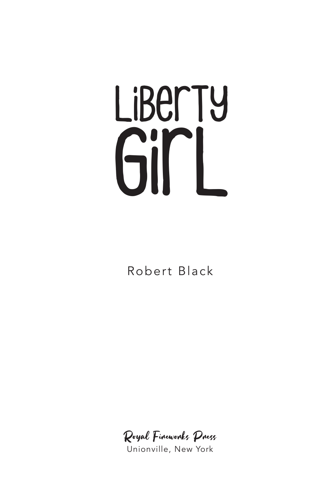## Liberty Girl

Robert Black

Royal Fireworks Press

Unionville, New York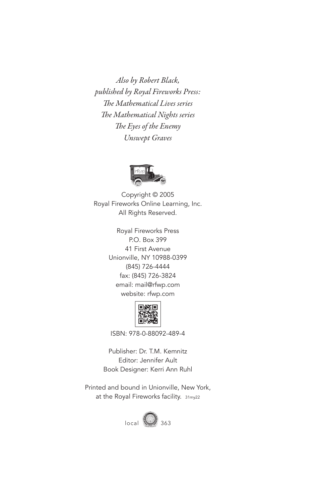*Also by Robert Black, published by Royal Fireworks Press: The Mathematical Lives series The Mathematical Nights series The Eyes of the Enemy Unswept Graves*



Copyright © 2005 Royal Fireworks Online Learning, Inc. All Rights Reserved.

> Royal Fireworks Press P.O. Box 399 41 First Avenue Unionville, NY 10988-0399 (845) 726-4444 fax: (845) 726-3824 email: mail@rfwp.com website: rfwp.com



ISBN: 978-0-88092-489-4

Publisher: Dr. T.M. Kemnitz Editor: Jennifer Ault Book Designer: Kerri Ann Ruhl

Printed and bound in Unionville, New York, at the Royal Fireworks facility. 31my22

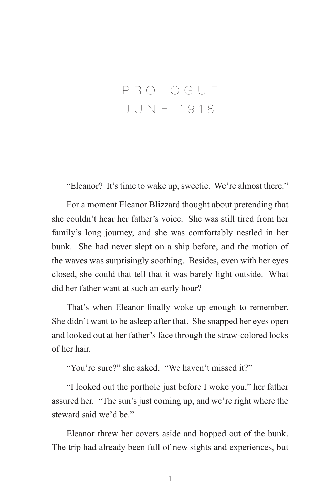## PROLOGUE JUNE 1918

"Eleanor? It's time to wake up, sweetie. We're almost there."

For a moment Eleanor Blizzard thought about pretending that she couldn't hear her father's voice. She was still tired from her family's long journey, and she was comfortably nestled in her bunk. She had never slept on a ship before, and the motion of the waves was surprisingly soothing. Besides, even with her eyes closed, she could that tell that it was barely light outside. What did her father want at such an early hour?

That's when Eleanor finally woke up enough to remember. She didn't want to be asleep after that. She snapped her eyes open and looked out at her father's face through the straw-colored locks of her hair.

"You're sure?" she asked. "We haven't missed it?"

"I looked out the porthole just before I woke you," her father assured her. "The sun's just coming up, and we're right where the steward said we'd be."

Eleanor threw her covers aside and hopped out of the bunk. The trip had already been full of new sights and experiences, but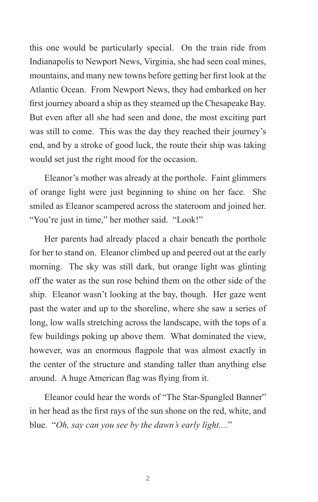this one would be particularly special. On the train ride from Indianapolis to Newport News, Virginia, she had seen coal mines, mountains, and many new towns before getting her first look at the Atlantic Ocean. From Newport News, they had embarked on her first journey aboard a ship as they steamed up the Chesapeake Bay. But even after all she had seen and done, the most exciting part was still to come. This was the day they reached their journey's end, and by a stroke of good luck, the route their ship was taking would set just the right mood for the occasion.

Eleanor's mother was already at the porthole. Faint glimmers of orange light were just beginning to shine on her face. She smiled as Eleanor scampered across the stateroom and joined her. "You're just in time," her mother said. "Look!"

Her parents had already placed a chair beneath the porthole for her to stand on. Eleanor climbed up and peered out at the early morning. The sky was still dark, but orange light was glinting off the water as the sun rose behind them on the other side of the ship. Eleanor wasn't looking at the bay, though. Her gaze went past the water and up to the shoreline, where she saw a series of long, low walls stretching across the landscape, with the tops of a few buildings poking up above them. What dominated the view, however, was an enormous flagpole that was almost exactly in the center of the structure and standing taller than anything else around. A huge American flag was flying from it.

Eleanor could hear the words of "The Star-Spangled Banner" in her head as the first rays of the sun shone on the red, white, and blue. "*Oh, say can you see by the dawn's early light....*"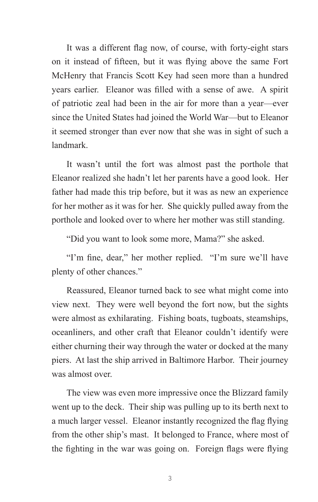It was a different flag now, of course, with forty-eight stars on it instead of fifteen, but it was flying above the same Fort McHenry that Francis Scott Key had seen more than a hundred years earlier. Eleanor was filled with a sense of awe. A spirit of patriotic zeal had been in the air for more than a year—ever since the United States had joined the World War—but to Eleanor it seemed stronger than ever now that she was in sight of such a landmark.

It wasn't until the fort was almost past the porthole that Eleanor realized she hadn't let her parents have a good look. Her father had made this trip before, but it was as new an experience for her mother as it was for her. She quickly pulled away from the porthole and looked over to where her mother was still standing.

"Did you want to look some more, Mama?" she asked.

"I'm fine, dear," her mother replied. "I'm sure we'll have plenty of other chances."

Reassured, Eleanor turned back to see what might come into view next. They were well beyond the fort now, but the sights were almost as exhilarating. Fishing boats, tugboats, steamships, oceanliners, and other craft that Eleanor couldn't identify were either churning their way through the water or docked at the many piers. At last the ship arrived in Baltimore Harbor. Their journey was almost over.

The view was even more impressive once the Blizzard family went up to the deck. Their ship was pulling up to its berth next to a much larger vessel. Eleanor instantly recognized the flag flying from the other ship's mast. It belonged to France, where most of the fighting in the war was going on. Foreign flags were flying

3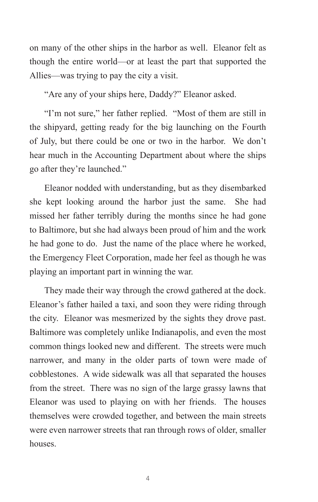on many of the other ships in the harbor as well. Eleanor felt as though the entire world—or at least the part that supported the Allies—was trying to pay the city a visit.

"Are any of your ships here, Daddy?" Eleanor asked.

"I'm not sure," her father replied. "Most of them are still in the shipyard, getting ready for the big launching on the Fourth of July, but there could be one or two in the harbor. We don't hear much in the Accounting Department about where the ships go after they're launched."

Eleanor nodded with understanding, but as they disembarked she kept looking around the harbor just the same. She had missed her father terribly during the months since he had gone to Baltimore, but she had always been proud of him and the work he had gone to do. Just the name of the place where he worked, the Emergency Fleet Corporation, made her feel as though he was playing an important part in winning the war.

They made their way through the crowd gathered at the dock. Eleanor's father hailed a taxi, and soon they were riding through the city. Eleanor was mesmerized by the sights they drove past. Baltimore was completely unlike Indianapolis, and even the most common things looked new and different. The streets were much narrower, and many in the older parts of town were made of cobblestones. A wide sidewalk was all that separated the houses from the street. There was no sign of the large grassy lawns that Eleanor was used to playing on with her friends. The houses themselves were crowded together, and between the main streets were even narrower streets that ran through rows of older, smaller houses.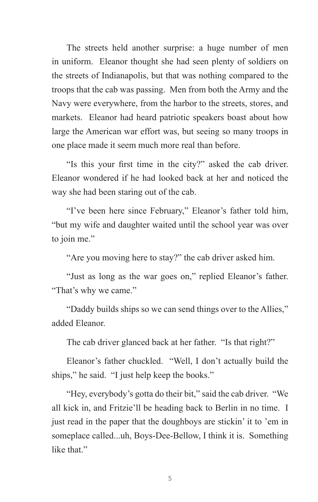The streets held another surprise: a huge number of men in uniform. Eleanor thought she had seen plenty of soldiers on the streets of Indianapolis, but that was nothing compared to the troops that the cab was passing. Men from both the Army and the Navy were everywhere, from the harbor to the streets, stores, and markets. Eleanor had heard patriotic speakers boast about how large the American war effort was, but seeing so many troops in one place made it seem much more real than before.

"Is this your first time in the city?" asked the cab driver. Eleanor wondered if he had looked back at her and noticed the way she had been staring out of the cab.

"I've been here since February," Eleanor's father told him, "but my wife and daughter waited until the school year was over to join me."

"Are you moving here to stay?" the cab driver asked him.

"Just as long as the war goes on," replied Eleanor's father. "That's why we came."

"Daddy builds ships so we can send things over to the Allies," added Eleanor.

The cab driver glanced back at her father. "Is that right?"

Eleanor's father chuckled. "Well, I don't actually build the ships," he said. "I just help keep the books."

"Hey, everybody's gotta do their bit," said the cab driver. "We all kick in, and Fritzie'll be heading back to Berlin in no time. I just read in the paper that the doughboys are stickin' it to 'em in someplace called...uh, Boys-Dee-Bellow, I think it is. Something like that."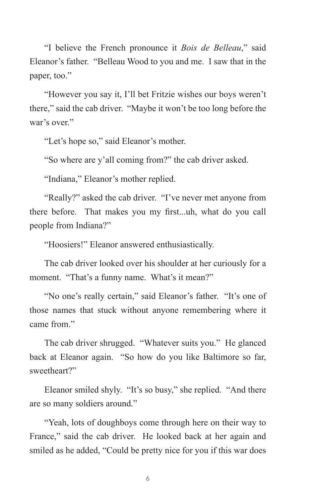"I believe the French pronounce it *Bois de Belleau*," said Eleanor's father. "Belleau Wood to you and me. I saw that in the paper, too."

"However you say it, I'll bet Fritzie wishes our boys weren't there," said the cab driver. "Maybe it won't be too long before the war's over."

"Let's hope so," said Eleanor's mother.

"So where are y'all coming from?" the cab driver asked.

"Indiana," Eleanor's mother replied.

"Really?" asked the cab driver. "I've never met anyone from there before. That makes you my first...uh, what do you call people from Indiana?"

"Hoosiers!" Eleanor answered enthusiastically.

The cab driver looked over his shoulder at her curiously for a moment. "That's a funny name. What's it mean?"

"No one's really certain," said Eleanor's father. "It's one of those names that stuck without anyone remembering where it came from."

The cab driver shrugged. "Whatever suits you." He glanced back at Eleanor again. "So how do you like Baltimore so far, sweetheart?"

Eleanor smiled shyly. "It's so busy," she replied. "And there are so many soldiers around."

"Yeah, lots of doughboys come through here on their way to France," said the cab driver. He looked back at her again and smiled as he added, "Could be pretty nice for you if this war does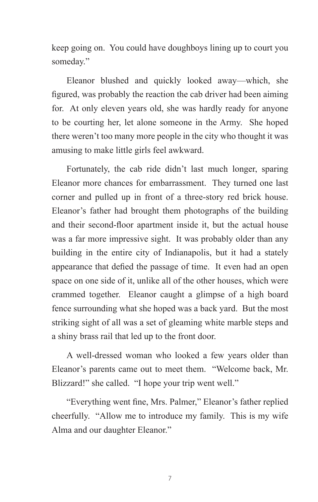keep going on. You could have doughboys lining up to court you someday."

Eleanor blushed and quickly looked away—which, she figured, was probably the reaction the cab driver had been aiming for. At only eleven years old, she was hardly ready for anyone to be courting her, let alone someone in the Army. She hoped there weren't too many more people in the city who thought it was amusing to make little girls feel awkward.

Fortunately, the cab ride didn't last much longer, sparing Eleanor more chances for embarrassment. They turned one last corner and pulled up in front of a three-story red brick house. Eleanor's father had brought them photographs of the building and their second-floor apartment inside it, but the actual house was a far more impressive sight. It was probably older than any building in the entire city of Indianapolis, but it had a stately appearance that defied the passage of time. It even had an open space on one side of it, unlike all of the other houses, which were crammed together. Eleanor caught a glimpse of a high board fence surrounding what she hoped was a back yard. But the most striking sight of all was a set of gleaming white marble steps and a shiny brass rail that led up to the front door.

A well-dressed woman who looked a few years older than Eleanor's parents came out to meet them. "Welcome back, Mr. Blizzard!" she called. "I hope your trip went well."

"Everything went fine, Mrs. Palmer," Eleanor's father replied cheerfully. "Allow me to introduce my family. This is my wife Alma and our daughter Eleanor."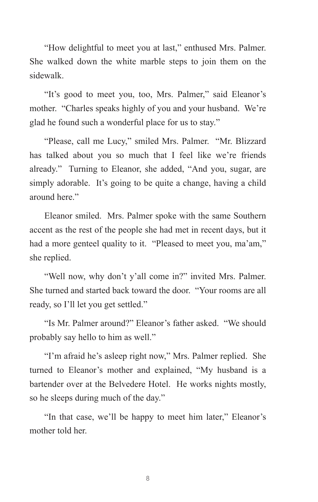"How delightful to meet you at last," enthused Mrs. Palmer. She walked down the white marble steps to join them on the sidewalk.

"It's good to meet you, too, Mrs. Palmer," said Eleanor's mother. "Charles speaks highly of you and your husband. We're glad he found such a wonderful place for us to stay."

"Please, call me Lucy," smiled Mrs. Palmer. "Mr. Blizzard has talked about you so much that I feel like we're friends already." Turning to Eleanor, she added, "And you, sugar, are simply adorable. It's going to be quite a change, having a child around here."

Eleanor smiled. Mrs. Palmer spoke with the same Southern accent as the rest of the people she had met in recent days, but it had a more genteel quality to it. "Pleased to meet you, ma'am," she replied.

"Well now, why don't y'all come in?" invited Mrs. Palmer. She turned and started back toward the door. "Your rooms are all ready, so I'll let you get settled."

"Is Mr. Palmer around?" Eleanor's father asked. "We should probably say hello to him as well."

"I'm afraid he's asleep right now," Mrs. Palmer replied. She turned to Eleanor's mother and explained, "My husband is a bartender over at the Belvedere Hotel. He works nights mostly, so he sleeps during much of the day."

"In that case, we'll be happy to meet him later," Eleanor's mother told her.

8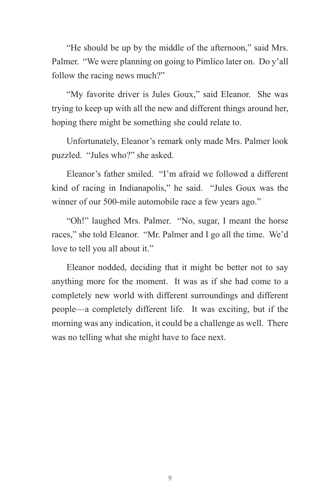"He should be up by the middle of the afternoon," said Mrs. Palmer. "We were planning on going to Pimlico later on. Do y'all follow the racing news much?"

"My favorite driver is Jules Goux," said Eleanor. She was trying to keep up with all the new and different things around her, hoping there might be something she could relate to.

Unfortunately, Eleanor's remark only made Mrs. Palmer look puzzled. "Jules who?" she asked.

Eleanor's father smiled. "I'm afraid we followed a different kind of racing in Indianapolis," he said. "Jules Goux was the winner of our 500-mile automobile race a few years ago."

"Oh!" laughed Mrs. Palmer. "No, sugar, I meant the horse races," she told Eleanor. "Mr. Palmer and I go all the time. We'd love to tell you all about it."

Eleanor nodded, deciding that it might be better not to say anything more for the moment. It was as if she had come to a completely new world with different surroundings and different people—a completely different life. It was exciting, but if the morning was any indication, it could be a challenge as well. There was no telling what she might have to face next.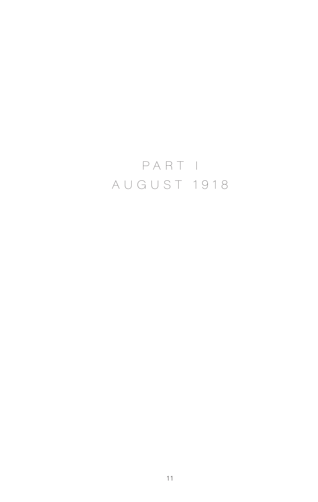## PART I AUGUST 1918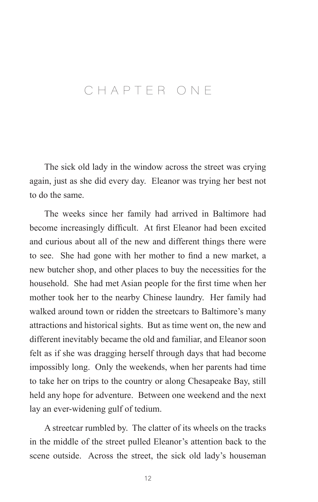## CHAPTER ONE

The sick old lady in the window across the street was crying again, just as she did every day. Eleanor was trying her best not to do the same.

The weeks since her family had arrived in Baltimore had become increasingly difficult. At first Eleanor had been excited and curious about all of the new and different things there were to see. She had gone with her mother to find a new market, a new butcher shop, and other places to buy the necessities for the household. She had met Asian people for the first time when her mother took her to the nearby Chinese laundry. Her family had walked around town or ridden the streetcars to Baltimore's many attractions and historical sights. But as time went on, the new and different inevitably became the old and familiar, and Eleanor soon felt as if she was dragging herself through days that had become impossibly long. Only the weekends, when her parents had time to take her on trips to the country or along Chesapeake Bay, still held any hope for adventure. Between one weekend and the next lay an ever-widening gulf of tedium.

A streetcar rumbled by. The clatter of its wheels on the tracks in the middle of the street pulled Eleanor's attention back to the scene outside. Across the street, the sick old lady's houseman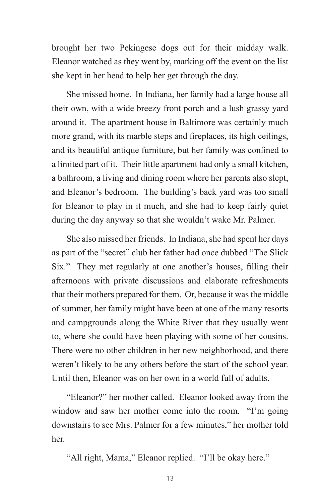brought her two Pekingese dogs out for their midday walk. Eleanor watched as they went by, marking off the event on the list she kept in her head to help her get through the day.

She missed home. In Indiana, her family had a large house all their own, with a wide breezy front porch and a lush grassy yard around it. The apartment house in Baltimore was certainly much more grand, with its marble steps and fireplaces, its high ceilings, and its beautiful antique furniture, but her family was confined to a limited part of it. Their little apartment had only a small kitchen, a bathroom, a living and dining room where her parents also slept, and Eleanor's bedroom. The building's back yard was too small for Eleanor to play in it much, and she had to keep fairly quiet during the day anyway so that she wouldn't wake Mr. Palmer.

She also missed her friends. In Indiana, she had spent her days as part of the "secret" club her father had once dubbed "The Slick Six." They met regularly at one another's houses, filling their afternoons with private discussions and elaborate refreshments that their mothers prepared for them. Or, because it was the middle of summer, her family might have been at one of the many resorts and campgrounds along the White River that they usually went to, where she could have been playing with some of her cousins. There were no other children in her new neighborhood, and there weren't likely to be any others before the start of the school year. Until then, Eleanor was on her own in a world full of adults.

"Eleanor?" her mother called. Eleanor looked away from the window and saw her mother come into the room. "I'm going downstairs to see Mrs. Palmer for a few minutes," her mother told her.

"All right, Mama," Eleanor replied. "I'll be okay here."